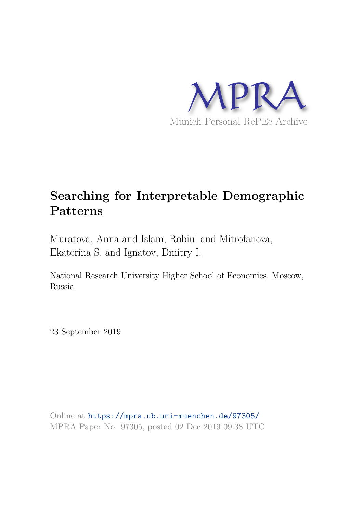

# **Searching for Interpretable Demographic Patterns**

Muratova, Anna and Islam, Robiul and Mitrofanova, Ekaterina S. and Ignatov, Dmitry I.

National Research University Higher School of Economics, Moscow, Russia

23 September 2019

Online at https://mpra.ub.uni-muenchen.de/97305/ MPRA Paper No. 97305, posted 02 Dec 2019 09:38 UTC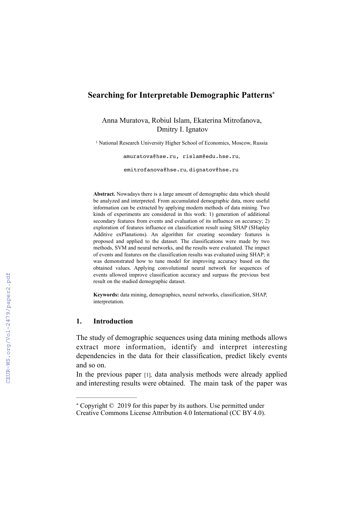# **Searching for Interpretable Demographic Patterns \***

Anna Muratova, Robiul Islam, Ekaterina Mitrofanova, Dmitry I. Ignatov

<sup>1</sup> National Research University Higher School of Economics, Moscow, Russia

amuratova@hse.ru, rislam@edu.hse.ru,

emitrofanova@hse.ru, dignatov@hse.ru

**Abstract.** Nowadays there is a large amount of demographic data which should be analyzed and interpreted. From accumulated demographic data, more useful information can be extracted by applying modern methods of data mining. Two kinds of experiments are considered in this work: 1) generation of additional secondary features from events and evaluation of its influence on accuracy; 2) exploration of features influence on classification result using SHAP (SHapley Additive exPlanations). An algorithm for creating secondary features is proposed and applied to the dataset. The classifications were made by two methods, SVM and neural networks, and the results were evaluated. The impact of events and features on the classification results was evaluated using SHAP; it was demonstrated how to tune model for improving accuracy based on the obtained values. Applying convolutional neural network for sequences of events allowed improve classification accuracy and surpass the previous best result on the studied demographic dataset.

**Keywords:** data mining, demographics, neural networks, classification, SHAP, interpretation.

#### **1. Introduction**

The study of demographic sequences using data mining methods allows extract more information, identify and interpret interesting dependencies in the data for their classification, predict likely events and so on.

In the previous paper [1], data analysis methods were already applied and interesting results were obtained. The main task of the paper was

Copyright © 2019 for this paper by its authors. Use permitted under \* Creative Commons License Attribution 4.0 International (CC BY 4.0).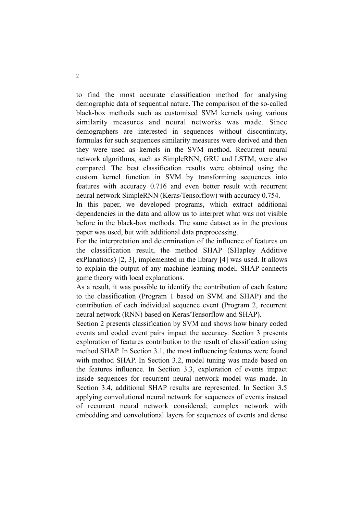to find the most accurate classification method for analysing demographic data of sequential nature. The comparison of the so-called black-box methods such as customised SVM kernels using various similarity measures and neural networks was made. Since demographers are interested in sequences without discontinuity, formulas for such sequences similarity measures were derived and then they were used as kernels in the SVM method. Recurrent neural network algorithms, such as SimpleRNN, GRU and LSTM, were also compared. The best classification results were obtained using the custom kernel function in SVM by transforming sequences into features with accuracy 0.716 and even better result with recurrent neural network SimpleRNN (Keras/Tensorflow) with accuracy 0.754.

In this paper, we developed programs, which extract additional dependencies in the data and allow us to interpret what was not visible before in the black-box methods. The same dataset as in the previous paper was used, but with additional data preprocessing.

For the interpretation and determination of the influence of features on the classification result, the method SHAP (SHapley Additive exPlanations) [2, 3], implemented in the library [4] was used. It allows to explain the output of any machine learning model. SHAP connects game theory with local explanations.

As a result, it was possible to identify the contribution of each feature to the classification (Program 1 based on SVM and SHAP) and the contribution of each individual sequence event (Program 2, recurrent neural network (RNN) based on Keras/Tensorflow and SHAP).

Section 2 presents classification by SVM and shows how binary coded events and coded event pairs impact the accuracy. Section 3 presents exploration of features contribution to the result of classification using method SHAP. In Section 3.1, the most influencing features were found with method SHAP. In Section 3.2, model tuning was made based on the features influence. In Section 3.3, exploration of events impact inside sequences for recurrent neural network model was made. In Section 3.4, additional SHAP results are represented. In Section 3.5 applying convolutional neural network for sequences of events instead of recurrent neural network considered; complex network with embedding and convolutional layers for sequences of events and dense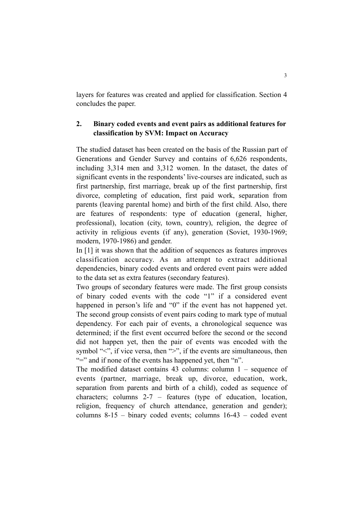layers for features was created and applied for classification. Section 4 concludes the paper.

# **2. Binary coded events and event pairs as additional features for classification by SVM: Impact on Accuracy**

The studied dataset has been created on the basis of the Russian part of Generations and Gender Survey and contains of 6,626 respondents, including 3,314 men and 3,312 women. In the dataset, the dates of significant events in the respondents' live-courses are indicated, such as first partnership, first marriage, break up of the first partnership, first divorce, completing of education, first paid work, separation from parents (leaving parental home) and birth of the first child. Also, there are features of respondents: type of education (general, higher, professional), location (city, town, country), religion, the degree of activity in religious events (if any), generation (Soviet, 1930-1969; modern, 1970-1986) and gender.

In [1] it was shown that the addition of sequences as features improves classification accuracy. As an attempt to extract additional dependencies, binary coded events and ordered event pairs were added to the data set as extra features (secondary features).

Two groups of secondary features were made. The first group consists of binary coded events with the code "1" if a considered event happened in person's life and "0" if the event has not happened yet. The second group consists of event pairs coding to mark type of mutual dependency. For each pair of events, a chronological sequence was determined; if the first event occurred before the second or the second did not happen yet, then the pair of events was encoded with the symbol "<", if vice versa, then ">", if the events are simultaneous, then "=" and if none of the events has happened yet, then "n".

The modified dataset contains 43 columns: column 1 – sequence of events (partner, marriage, break up, divorce, education, work, separation from parents and birth of a child), coded as sequence of characters; columns 2-7 – features (type of education, location, religion, frequency of church attendance, generation and gender); columns 8-15 – binary coded events; columns 16-43 – coded event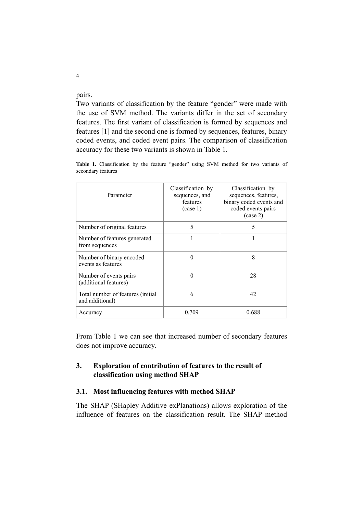pairs.

and additional)

Two variants of classification by the feature "gender" were made with the use of SVM method. The variants differ in the set of secondary features. The first variant of classification is formed by sequences and features [1] and the second one is formed by sequences, features, binary coded events, and coded event pairs. The comparison of classification accuracy for these two variants is shown in Table 1.

| Parameter                                       | Classification by<br>sequences, and<br>features<br>(case 1) | Classification by<br>sequences, features,<br>binary coded events and<br>coded events pairs<br>$(\case 2)$ |
|-------------------------------------------------|-------------------------------------------------------------|-----------------------------------------------------------------------------------------------------------|
| Number of original features                     | 5                                                           | 5                                                                                                         |
| Number of features generated<br>from sequences  |                                                             |                                                                                                           |
| Number of binary encoded<br>events as features  |                                                             | 8                                                                                                         |
| Number of events pairs<br>(additional features) |                                                             | 28                                                                                                        |
| Total number of features <i>(initial</i> )      |                                                             | 42                                                                                                        |

Table 1. Classification by the feature "gender" using SVM method for two variants of secondary features

From Table 1 we can see that increased number of secondary features does not improve accuracy.

# **3. Exploration of contribution of features to the result of classification using method SHAP**

Accuracy 0.709 0.688

#### **3.1. Most influencing features with method SHAP**

The SHAP (SHapley Additive exPlanations) allows exploration of the influence of features on the classification result. The SHAP method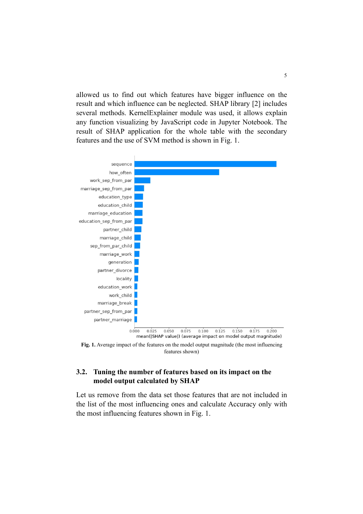allowed us to find out which features have bigger influence on the result and which influence can be neglected. SHAP library [2] includes several methods. KernelExplainer module was used, it allows explain any function visualizing by JavaScript code in Jupyter Notebook. The result of SHAP application for the whole table with the secondary features and the use of SVM method is shown in Fig. 1.



**Fig. 1.** Average impact of the features on the model output magnitude (the most influencing features shown)

## **3.2. Tuning the number of features based on its impact on the model output calculated by SHAP**

Let us remove from the data set those features that are not included in the list of the most influencing ones and calculate Accuracy only with the most influencing features shown in Fig. 1.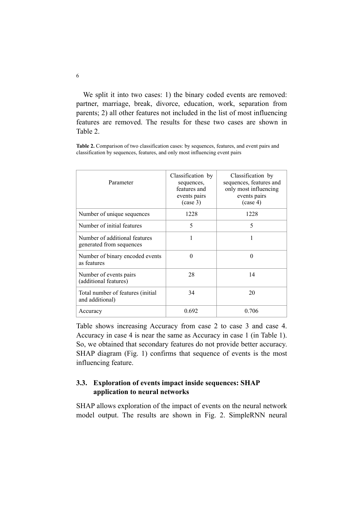We split it into two cases: 1) the binary coded events are removed: partner, marriage, break, divorce, education, work, separation from parents; 2) all other features not included in the list of most influencing features are removed. The results for these two cases are shown in Table 2.

**Table 2.** Comparison of two classification cases: by sequences, features, and event pairs and classification by sequences, features, and only most influencing event pairs

| Parameter                                                 | Classification by<br>sequences,<br>features and<br>events pairs<br>$(\case 3)$ | Classification by<br>sequences, features and<br>only most influencing<br>events pairs<br>$(\case 4)$ |
|-----------------------------------------------------------|--------------------------------------------------------------------------------|------------------------------------------------------------------------------------------------------|
| Number of unique sequences                                | 1228                                                                           | 1228                                                                                                 |
| Number of initial features                                | 5                                                                              | 5                                                                                                    |
| Number of additional features<br>generated from sequences |                                                                                | 1                                                                                                    |
| Number of binary encoded events<br>as features            | 0                                                                              | $\Omega$                                                                                             |
| Number of events pairs<br>(additional features)           | 28                                                                             | 14                                                                                                   |
| Total number of features (initial)<br>and additional)     | 34                                                                             | 20                                                                                                   |
| Accuracy                                                  | 0.692                                                                          | 0.706                                                                                                |

Table shows increasing Accuracy from case 2 to case 3 and case 4. Accuracy in case 4 is near the same as Accuracy in case 1 (in Table 1). So, we obtained that secondary features do not provide better accuracy. SHAP diagram (Fig. 1) confirms that sequence of events is the most influencing feature.

## **3.3. Exploration of events impact inside sequences: SHAP application to neural networks**

SHAP allows exploration of the impact of events on the neural network model output. The results are shown in Fig. 2. SimpleRNN neural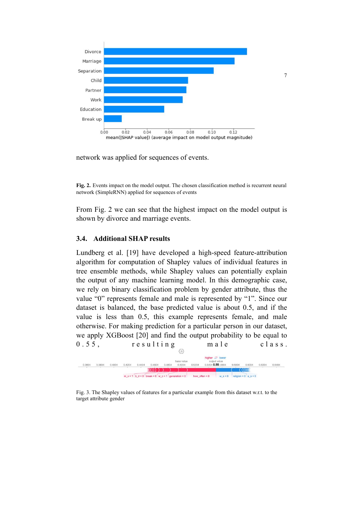

network was applied for sequences of events.

**Fig. 2.** Events impact on the model output. The chosen classification method is recurrent neural network (SimpleRNN) applied for sequences of events

From Fig. 2 we can see that the highest impact on the model output is shown by divorce and marriage events.

#### **3.4. Additional SHAP results**

Lundberg et al. [19] have developed a high-speed feature-attribution algorithm for computation of Shapley values of individual features in tree ensemble methods, while Shapley values can potentially explain the output of any machine learning model. In this demographic case, we rely on binary classification problem by gender attribute, thus the value "0" represents female and male is represented by "1". Since our dataset is balanced, the base predicted value is about 0.5, and if the value is less than 0.5, this example represents female, and male otherwise. For making prediction for a particular person in our dataset, we apply XGBoost [20] and find the output probability to be equal to  $0.55$ , resulting male class.



Fig. 3. The Shapley values of features for a particular example from this dataset w.r.t. to the target attribute gender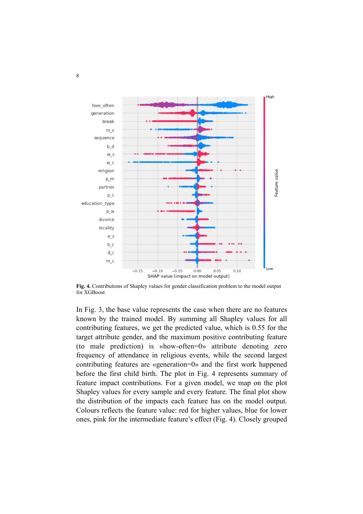

**Fig. 4.** Contributions of Shapley values for gender classification problem to the model output for XGBoost

In Fig. 3, the base value represents the case when there are no features known by the trained model. By summing all Shapley values for all contributing features, we get the predicted value, which is 0.55 for the target attribute gender, and the maximum positive contributing feature (to male prediction) is «how-often=0» attribute denoting zero frequency of attendance in religious events, while the second largest contributing features are «generation=0» and the first work happened before the first child birth. The plot in Fig. 4 represents summary of feature impact contributions. For a given model, we map on the plot Shapley values for every sample and every feature. The final plot show the distribution of the impacts each feature has on the model output. Colours reflects the feature value: red for higher values, blue for lower ones, pink for the intermediate feature's effect (Fig. 4). Closely grouped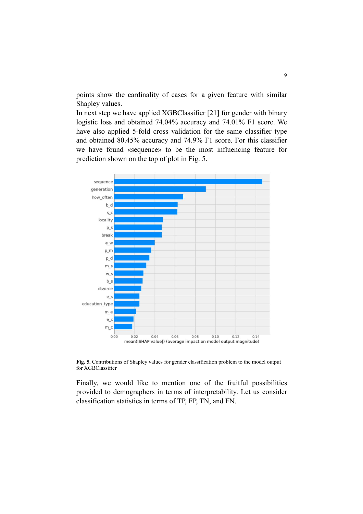points show the cardinality of cases for a given feature with similar Shapley values.

In next step we have applied XGBClassifier [21] for gender with binary logistic loss and obtained 74.04% accuracy and 74.01% F1 score. We have also applied 5-fold cross validation for the same classifier type and obtained 80.45% accuracy and 74.9% F1 score. For this classifier we have found «sequence» to be the most influencing feature for prediction shown on the top of plot in Fig. 5.



**Fig. 5.** Contributions of Shapley values for gender classification problem to the model output for XGBClassifier

Finally, we would like to mention one of the fruitful possibilities provided to demographers in terms of interpretability. Let us consider classification statistics in terms of TP, FP, TN, and FN.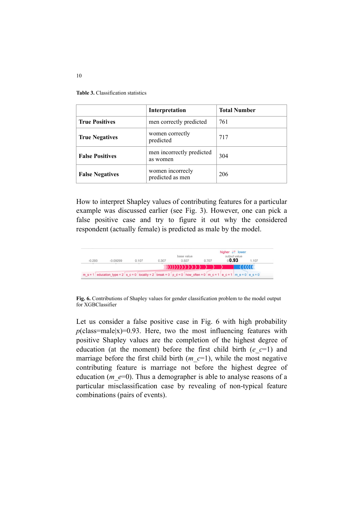**Table 3.** Classification statistics

|                        | Interpretation                        | <b>Total Number</b> |
|------------------------|---------------------------------------|---------------------|
| <b>True Positives</b>  | men correctly predicted               | 761                 |
| <b>True Negatives</b>  | women correctly<br>predicted          | 717                 |
| <b>False Positives</b> | men incorrectly predicted<br>as women | 304                 |
| <b>False Negatives</b> | women incorrecty<br>predicted as men  | 206                 |

How to interpret Shapley values of contributing features for a particular example was discussed earlier (see Fig. 3). However, one can pick a false positive case and try to figure it out why the considered respondent (actually female) is predicted as male by the model.



**Fig. 6.** Contributions of Shapley values for gender classification problem to the model output for XGBClassifier

Let us consider a false positive case in Fig. 6 with high probability  $p$ (class=male|x)=0.93. Here, two the most influencing features with positive Shapley values are the completion of the highest degree of education (at the moment) before the first child birth  $(e \ c=1)$  and marriage before the first child birth  $(m \ c=1)$ , while the most negative contributing feature is marriage not before the highest degree of education (*m\_e*=0). Thus a demographer is able to analyse reasons of a particular misclassification case by revealing of non-typical feature combinations (pairs of events).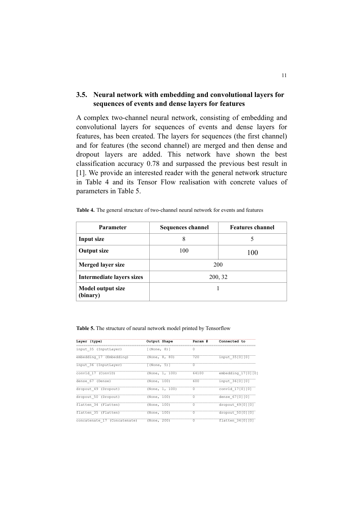## **3.5. Neural network with embedding and convolutional layers for sequences of events and dense layers for features**

A complex two-channel neural network, consisting of embedding and convolutional layers for sequences of events and dense layers for features, has been created. The layers for sequences (the first channel) and for features (the second channel) are merged and then dense and dropout layers are added. This network have shown the best classification accuracy 0.78 and surpassed the previous best result in [1]. We provide an interested reader with the general network structure in Table 4 and its Tensor Flow realisation with concrete values of parameters in Table 5.

| <b>Parameter</b>              | <b>Sequences channel</b> | <b>Features channel</b> |  |
|-------------------------------|--------------------------|-------------------------|--|
| Input size                    | 8                        | 5                       |  |
| <b>Output size</b>            | 100                      | 100                     |  |
| Merged layer size             | 200                      |                         |  |
| Intermediate layers sizes     | 200, 32                  |                         |  |
| Model output size<br>(binary) |                          |                         |  |

**Table 4.** The general structure of two-channel neural network for events and features

**Table 5.** The structure of neural network model printed by Tensorflow

| Layer (type)                 | Output Shape        | Param #        | Connected to       |
|------------------------------|---------------------|----------------|--------------------|
| input 35 (InputLayer)        | $\lceil$ (None, 8)] | 0              |                    |
| embedding 17 (Embedding)     | (None, 8, 80)       | 720            | input 35[0][0]     |
| input 36 (InputLayer)        | [ (None, 5) ]       | $\circ$        |                    |
| conv1d 17 (Conv1D)           | (None, 1, 100)      | 64100          | embedding 17[0][0] |
| dense 67 (Dense)             | (None, 100)         | 600            | input 36[0][0]     |
| dropout 49 (Dropout)         | (None, 1, 100)      | $\circ$        | conv1d 17[0][0]    |
| dropout 50 (Dropout)         | (None, 100)         | $\overline{0}$ | dense 67[0][0]     |
| flatten 34 (Flatten)         | (None, 100)         | $\circ$        | dropout 49[0][0]   |
| flatten 35 (Flatten)         | (None, 100)         | 0              | dropout 50[0][0]   |
| concatenate 17 (Concatenate) | (None, 200)         | $\circ$        | flatten 34[0][0]   |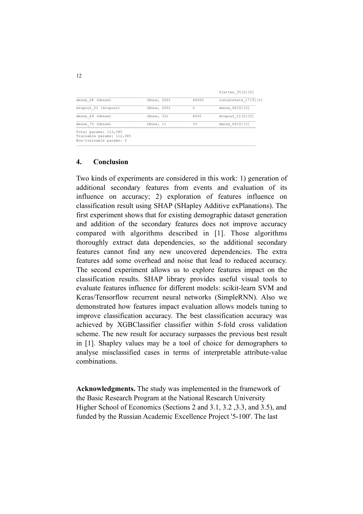|                                                                               |             |       | flatten 35[0][0]     |
|-------------------------------------------------------------------------------|-------------|-------|----------------------|
| dense 68 (Dense)                                                              | (None, 200) | 40200 | concatenate 17[0][0] |
| dropout 51 (Dropout)                                                          | (None, 200) | 0     | dense 68[0][0]       |
| dense 69 (Dense)                                                              | (None, 32)  | 6432  | dropout 51[0][0]     |
| dense 70 (Dense)                                                              | (None, 1)   | 33    | dense 69[0][0]       |
| Total params: 112,085<br>Trainable params: 112,085<br>Non-trainable params: 0 |             |       |                      |

 $\mathcal{L}_\text{max}$ 

#### **4. Conclusion**

Two kinds of experiments are considered in this work: 1) generation of additional secondary features from events and evaluation of its influence on accuracy; 2) exploration of features influence on classification result using SHAP (SHapley Additive exPlanations). The first experiment shows that for existing demographic dataset generation and addition of the secondary features does not improve accuracy compared with algorithms described in [1]. Those algorithms thoroughly extract data dependencies, so the additional secondary features cannot find any new uncovered dependencies. The extra features add some overhead and noise that lead to reduced accuracy. The second experiment allows us to explore features impact on the classification results. SHAP library provides useful visual tools to evaluate features influence for different models: scikit-learn SVM and Keras/Tensorflow recurrent neural networks (SimpleRNN). Also we demonstrated how features impact evaluation allows models tuning to improve classification accuracy. The best classification accuracy was achieved by XGBClassifier classifier within 5-fold cross validation scheme. The new result for accuracy surpasses the previous best result in [1]. Shapley values may be a tool of choice for demographers to analyse misclassified cases in terms of interpretable attribute-value combinations.

**Acknowledgments.** The study was implemented in the framework of the Basic Research Program at the National Research University Higher School of Economics (Sections 2 and 3.1, 3.2 ,3.3, and 3.5), and funded by the Russian Academic Excellence Project '5-100'. The last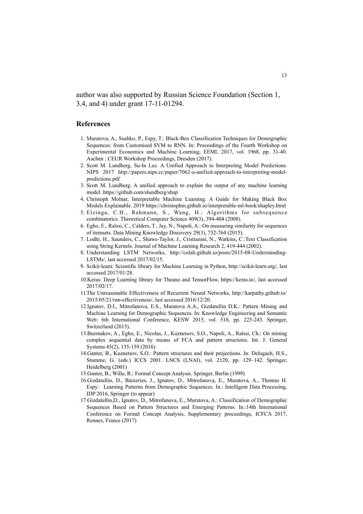author was also supported by Russian Science Foundation (Section 1, 3.4, and 4) under grant 17-11-01294.

#### **References**

- 1. Muratova, A., Sushko, P., Espy, T.: Black-Box Classification Techniques for Demographic Sequences: from Customised SVM to RNN. In: Proceedings of the Fourth Workshop on Experimental Economics and Machine Learning, EEML 2017, vol. 1968, pp. 31-40. Aachen : CEUR Workshop Proceedings, Dresden (2017).
- 2. Scott M. Lundberg, Su-In Lee. A Unified Approach to Interpreting Model Predictions. NIPS 2017 http://papers.nips.cc/paper/7062-a-unified-approach-to-interpreting-modelpredictions.pdf
- 3. Scott M. Lundberg. A unified approach to explain the output of any machine learning model. https://github.com/slundberg/shap
- 4. Christoph Molnar, Interpretable Machine Learning. A Guide for Making Black Box Models Explainable. 2019 https://christophm.github.io/interpretable-ml-book/shapley.html
- 5. Elzinga, C.H., Rahmann, S., Wang, H.: Algorithms for subsequence combinatorics. Theoretical Computer Science 409(3), 394-404 (2008).
- 6. Egho, E., Raïssi, C., Calders, T., Jay, N., Napoli, A.: On measuring similarity for sequences of itemsets. Data Mining Knowledge Discovery 29(3), 732-764 (2015).
- 7. Lodhi, H., Saunders, C., Shawe-Taylor, J., Cristianini, N., Watkins, C.:Text Classification using String Kernels. Journal of Machine Learning Research 2, 419-444 (2002).
- 8. Understanding LSTM Networks, http://colah.github.io/posts/2015-08-Understanding-LSTMs/, last accessed 2017/02/15.
- 9. Scikit-learn: Scientific library for Machine Learning in Python, http://scikit-learn.org/, last accessed 2017/01/28.
- 10.Keras: Deep Learning library for Theano and TensorFlow, https://keras.io/, last accessed 2017/02/17.
- 11.The Unreasonable Effectiveness of Recurrent Neural Networks, http://karpathy.github.io/ 2015/05/21/rnn-effectiveness/, last accessed 2016/12/20.
- 12.Ignatov, D.I., Mitrofanova, E.S., Muratova A.A., Gizdatullin D.K.: Pattern Mining and Machine Learning for Demographic Sequences. In: Knowledge Engineering and Semantic Web: 6th International Conference, KESW 2015, vol. 518, pp. 225-243. Springer, Switzerland (2015).
- 13.Buzmakov, A., Egho, E., Nicolas, J., Kuznetsov, S.O., Napoli, A., Raïssi, Ch.: On mining complex sequential data by means of FCA and pattern structures. Int. J. General Systems 45(2), 135-159 (2016)
- 14.Ganter, B., Kuznetsov, S.O.: Pattern structures and their projections. In: Delugach, H.S., Stumme, G. (eds.) ICCS 2001. LNCS (LNAI), vol. 2120, pp. 129–142. Springer, Heidelberg (2001)
- 15.Ganter, B., Wille, R.: Formal Concept Analysis. Springer, Berlin (1999)
- 16.Gizdatullin, D., Baixeries, J., Ignatov, D., Mitrofanova, E., Muratova, A., Thomas H. Espy: Learning Patterns from Demographic Sequences. In.: Intelligent Data Processing, IDP 2016, Springer (to appear)
- 17.Gizdatullin,D., Ignatov, D., Mitrofanova, E., Muratova, A.: Classification of Demographic Sequences Based on Pattern Structures and Emerging Patterns. In.:14th International Conference on Formal Concept Analysis, Supplementary proceedings, ICFCA 2017, Rennes, France (2017)